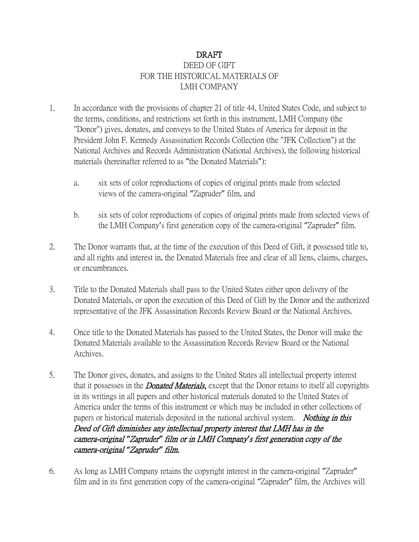## DRAFT DEED OF GIFT FOR THE HISTORICAL MATERIALS OF LMH COMPANY

- 1. In accordance with the provisions of chapter 21 of title 44, United States Code, and subject to the terms, conditions, and restrictions set forth in this instrument, LMH Company (the "Donor") gives, donates, and conveys to the United States of America for deposit in the President John F. Kennedy Assassination Records Collection (the "JFK Collection") at the National Archives and Records Administration (National Archives), the following historical materials (hereinafter referred to as "the Donated Materials"):
	- a. six sets of color reproductions of copies of original prints made from selected views of the camera-original "Zapruder" film, and
	- b. six sets of color reproductions of copies of original prints made from selected views of the LMH Company's first generation copy of the camera-original "Zapruder" film.
- 2. The Donor warrants that, at the time of the execution of this Deed of Gift, it possessed title to, and all rights and interest in, the Donated Materials free and clear of all liens, claims, charges, or encumbrances.
- 3. Title to the Donated Materials shall pass to the United States either upon delivery of the Donated Materials, or upon the execution of this Deed of Gift by the Donor and the authorized representative of the JFK Assassination Records Review Board or the National Archives.
- 4. Once title to the Donated Materials has passed to the United States, the Donor will make the Donated Materials available to the Assassination Records Review Board or the National Archives.
- 5. The Donor gives, donates, and assigns to the United States all intellectual property interest that it possesses in the *Donated Materials*, except that the Donor retains to itself all copyrights in its writings in all papers and other historical materials donated to the United States of America under the terms of this instrument or which may be included in other collections of papers or historical materials deposited in the national archival system. Nothing in this Deed of Gift diminishes any intellectual property interest that LMH has in the camera-original *"*Zapruder*"* film or in LMH Company*'*s first generation copy of the camera-original *"*Zapruder*"* film.
- 6. As long as LMH Company retains the copyright interest in the camera-original "Zapruder" film and in its first generation copy of the camera-original "Zapruder" film, the Archives will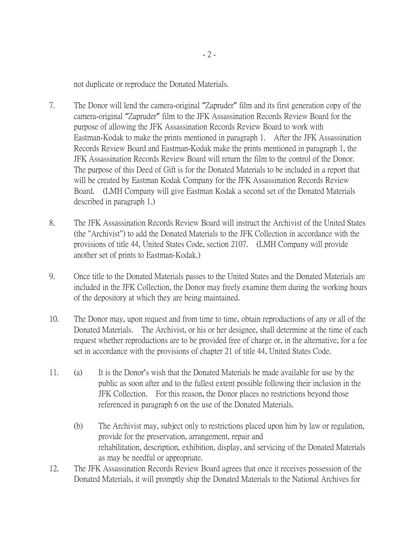not duplicate or reproduce the Donated Materials.

- 7. The Donor will lend the camera-original "Zapruder" film and its first generation copy of the camera-original "Zapruder" film to the JFK Assassination Records Review Board for the purpose of allowing the JFK Assassination Records Review Board to work with Eastman-Kodak to make the prints mentioned in paragraph 1. After the JFK Assassination Records Review Board and Eastman-Kodak make the prints mentioned in paragraph 1, the JFK Assassination Records Review Board will return the film to the control of the Donor. The purpose of this Deed of Gift is for the Donated Materials to be included in a report that will be created by Eastman Kodak Company for the JFK Assassination Records Review Board. (LMH Company will give Eastman Kodak a second set of the Donated Materials described in paragraph 1.)
- 8. The JFK Assassination Records Review Board will instruct the Archivist of the United States (the "Archivist") to add the Donated Materials to the JFK Collection in accordance with the provisions of title 44, United States Code, section 2107. (LMH Company will provide another set of prints to Eastman-Kodak.)
- 9. Once title to the Donated Materials passes to the United States and the Donated Materials are included in the JFK Collection, the Donor may freely examine them during the working hours of the depository at which they are being maintained.
- 10. The Donor may, upon request and from time to time, obtain reproductions of any or all of the Donated Materials. The Archivist, or his or her designee, shall determine at the time of each request whether reproductions are to be provided free of charge or, in the alternative, for a fee set in accordance with the provisions of chapter 21 of title 44, United States Code.
- 11. (a) It is the Donor's wish that the Donated Materials be made available for use by the public as soon after and to the fullest extent possible following their inclusion in the JFK Collection. For this reason, the Donor places no restrictions beyond those referenced in paragraph 6 on the use of the Donated Materials.
	- (b) The Archivist may, subject only to restrictions placed upon him by law or regulation, provide for the preservation, arrangement, repair and rehabilitation, description, exhibition, display, and servicing of the Donated Materials as may be needful or appropriate.
- 12. The JFK Assassination Records Review Board agrees that once it receives possession of the Donated Materials, it will promptly ship the Donated Materials to the National Archives for